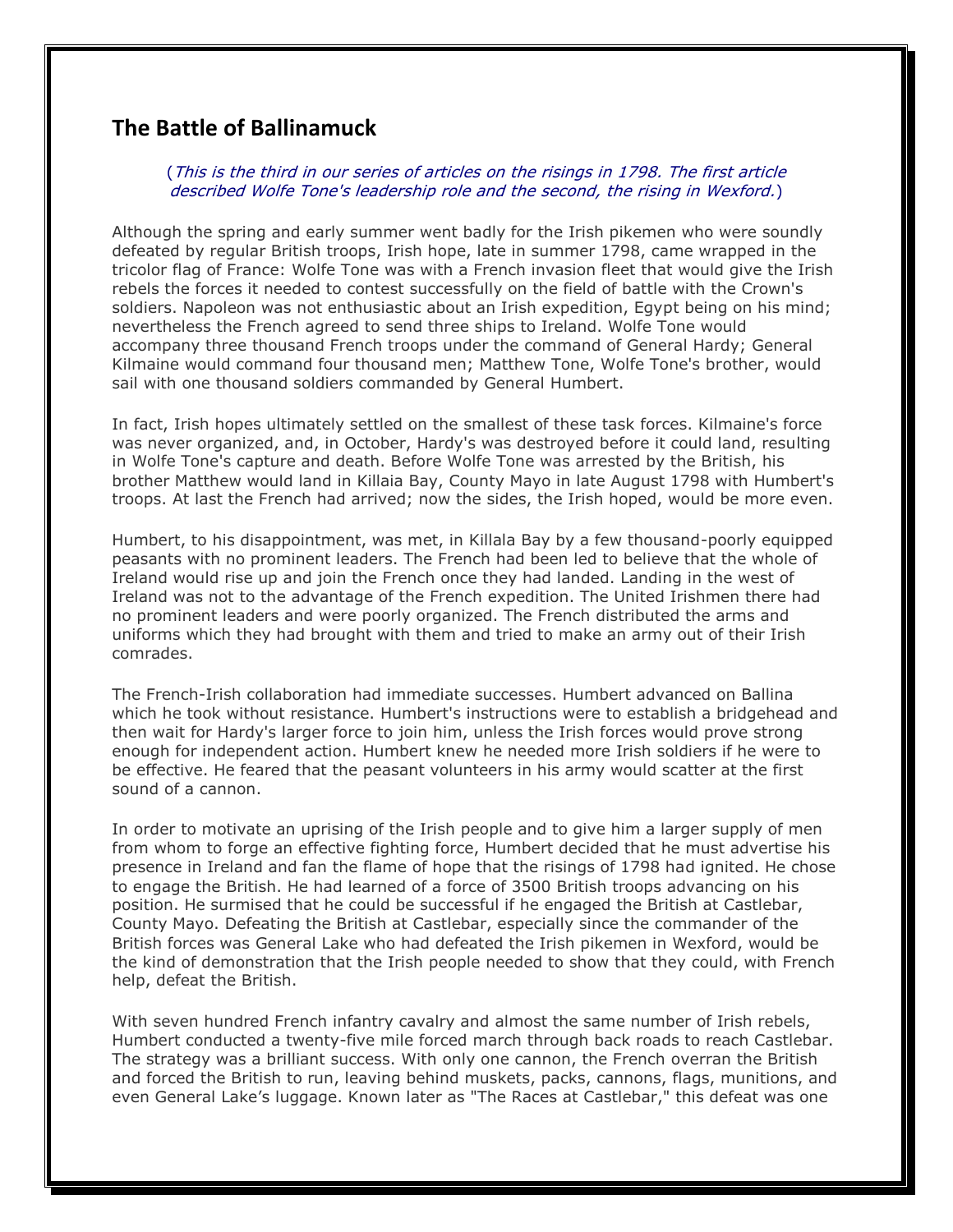## **The Battle of Ballinamuck**

(This is the third in our series of articles on the risings in 1798. The first article described Wolfe Tone's leadership role and the second, the rising in Wexford.)

Although the spring and early summer went badly for the Irish pikemen who were soundly defeated by regular British troops, Irish hope, late in summer 1798, came wrapped in the tricolor flag of France: Wolfe Tone was with a French invasion fleet that would give the Irish rebels the forces it needed to contest successfully on the field of battle with the Crown's soldiers. Napoleon was not enthusiastic about an Irish expedition, Egypt being on his mind; nevertheless the French agreed to send three ships to Ireland. Wolfe Tone would accompany three thousand French troops under the command of General Hardy; General Kilmaine would command four thousand men; Matthew Tone, Wolfe Tone's brother, would sail with one thousand soldiers commanded by General Humbert.

In fact, Irish hopes ultimately settled on the smallest of these task forces. Kilmaine's force was never organized, and, in October, Hardy's was destroyed before it could land, resulting in Wolfe Tone's capture and death. Before Wolfe Tone was arrested by the British, his brother Matthew would land in Killaia Bay, County Mayo in late August 1798 with Humbert's troops. At last the French had arrived; now the sides, the Irish hoped, would be more even.

Humbert, to his disappointment, was met, in Killala Bay by a few thousand-poorly equipped peasants with no prominent leaders. The French had been led to believe that the whole of Ireland would rise up and join the French once they had landed. Landing in the west of Ireland was not to the advantage of the French expedition. The United Irishmen there had no prominent leaders and were poorly organized. The French distributed the arms and uniforms which they had brought with them and tried to make an army out of their Irish comrades.

The French-Irish collaboration had immediate successes. Humbert advanced on Ballina which he took without resistance. Humbert's instructions were to establish a bridgehead and then wait for Hardy's larger force to join him, unless the Irish forces would prove strong enough for independent action. Humbert knew he needed more Irish soldiers if he were to be effective. He feared that the peasant volunteers in his army would scatter at the first sound of a cannon.

In order to motivate an uprising of the Irish people and to give him a larger supply of men from whom to forge an effective fighting force, Humbert decided that he must advertise his presence in Ireland and fan the flame of hope that the risings of 1798 had ignited. He chose to engage the British. He had learned of a force of 3500 British troops advancing on his position. He surmised that he could be successful if he engaged the British at Castlebar, County Mayo. Defeating the British at Castlebar, especially since the commander of the British forces was General Lake who had defeated the Irish pikemen in Wexford, would be the kind of demonstration that the Irish people needed to show that they could, with French help, defeat the British.

With seven hundred French infantry cavalry and almost the same number of Irish rebels, Humbert conducted a twenty-five mile forced march through back roads to reach Castlebar. The strategy was a brilliant success. With only one cannon, the French overran the British and forced the British to run, leaving behind muskets, packs, cannons, flags, munitions, and even General Lake's luggage. Known later as "The Races at Castlebar," this defeat was one